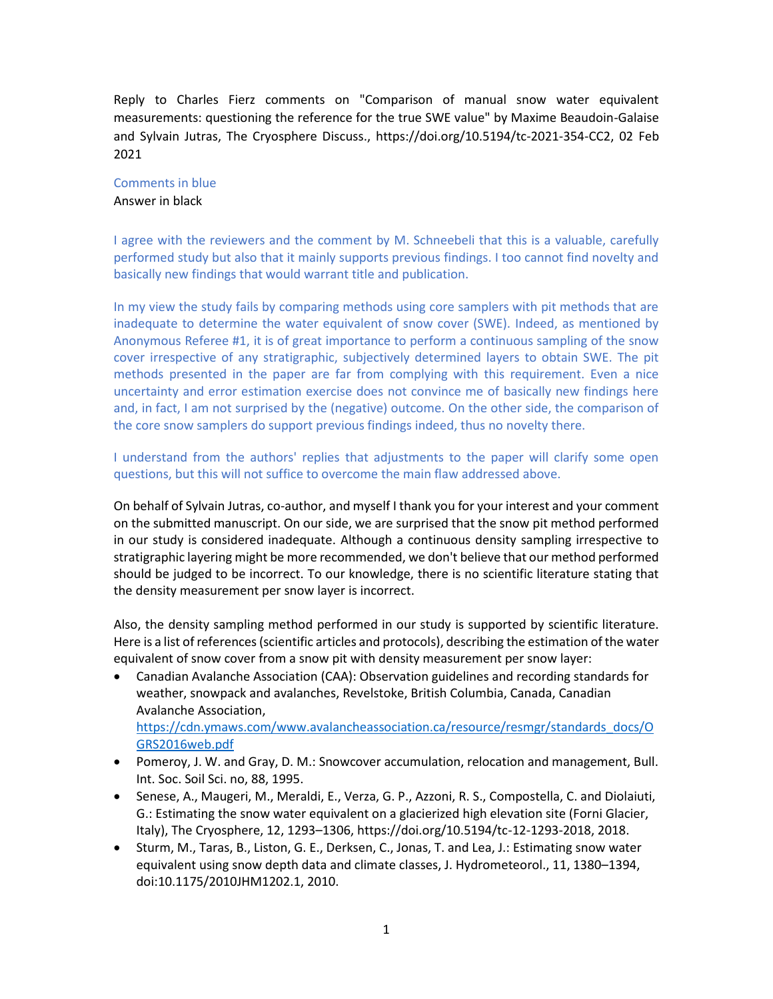Reply to Charles Fierz comments on "Comparison of manual snow water equivalent measurements: questioning the reference for the true SWE value" by Maxime Beaudoin-Galaise and Sylvain Jutras, The Cryosphere Discuss., https://doi.org/10.5194/tc-2021-354-CC2, 02 Feb 2021

## Comments in blue

Answer in black

I agree with the reviewers and the comment by M. Schneebeli that this is a valuable, carefully performed study but also that it mainly supports previous findings. I too cannot find novelty and basically new findings that would warrant title and publication.

In my view the study fails by comparing methods using core samplers with pit methods that are inadequate to determine the water equivalent of snow cover (SWE). Indeed, as mentioned by Anonymous Referee #1, it is of great importance to perform a continuous sampling of the snow cover irrespective of any stratigraphic, subjectively determined layers to obtain SWE. The pit methods presented in the paper are far from complying with this requirement. Even a nice uncertainty and error estimation exercise does not convince me of basically new findings here and, in fact, I am not surprised by the (negative) outcome. On the other side, the comparison of the core snow samplers do support previous findings indeed, thus no novelty there.

I understand from the authors' replies that adjustments to the paper will clarify some open questions, but this will not suffice to overcome the main flaw addressed above.

On behalf of Sylvain Jutras, co-author, and myself I thank you for your interest and your comment on the submitted manuscript. On our side, we are surprised that the snow pit method performed in our study is considered inadequate. Although a continuous density sampling irrespective to stratigraphic layering might be more recommended, we don't believe that our method performed should be judged to be incorrect. To our knowledge, there is no scientific literature stating that the density measurement per snow layer is incorrect.

Also, the density sampling method performed in our study is supported by scientific literature. Here is a list of references (scientific articles and protocols), describing the estimation of the water equivalent of snow cover from a snow pit with density measurement per snow layer:

• Canadian Avalanche Association (CAA): Observation guidelines and recording standards for weather, snowpack and avalanches, Revelstoke, British Columbia, Canada, Canadian Avalanche Association, [https://cdn.ymaws.com/www.avalancheassociation.ca/resource/resmgr/standards\\_docs/O](https://cdn.ymaws.com/www.avalancheassociation.ca/resource/resmgr/standards_docs/OGRS2016web.pdf)

[GRS2016web.pdf](https://cdn.ymaws.com/www.avalancheassociation.ca/resource/resmgr/standards_docs/OGRS2016web.pdf)

- Pomeroy, J. W. and Gray, D. M.: Snowcover accumulation, relocation and management, Bull. Int. Soc. Soil Sci. no, 88, 1995.
- Senese, A., Maugeri, M., Meraldi, E., Verza, G. P., Azzoni, R. S., Compostella, C. and Diolaiuti, G.: Estimating the snow water equivalent on a glacierized high elevation site (Forni Glacier, Italy), The Cryosphere, 12, 1293–1306, https://doi.org/10.5194/tc-12-1293-2018, 2018.
- Sturm, M., Taras, B., Liston, G. E., Derksen, C., Jonas, T. and Lea, J.: Estimating snow water equivalent using snow depth data and climate classes, J. Hydrometeorol., 11, 1380–1394, doi:10.1175/2010JHM1202.1, 2010.